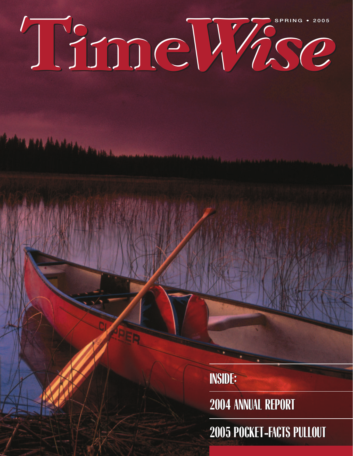# **SPRING • 2005 Time***Wise*

**INSIDE: INSIDE:**

**2004 ANNUAL REPORT 2004 ANNUAL REPORT**

**2005 POCKET-FACTS PULLOUT 2005 POCKET-FACTS PULLOUT**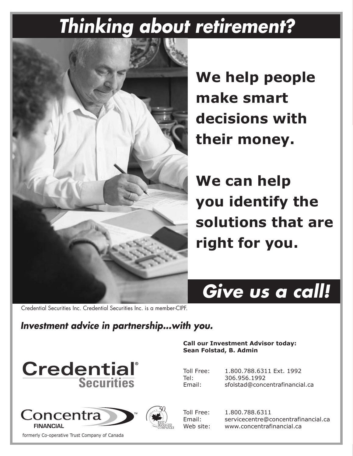# *Thinking about retirement?*



**We help people** make smart **decisions with** their money.

**We can help you identify the** solutions that are right for you.



**Call our Investment Advisor todav:** 

Toll Free: 1.800.788.6311 Ext. 1992<br>Tel: 306.956.1992 306.956.1992 Email: sfolstad@concentrafinancial.ca

**Sean Folstad, B. Admin** 

Credential Securities Inc. Credential Securities Inc. is a member-CIPF.

#### Investment advice in partnership...with you.





formerly Co-operative Trust Company of Canada



Toll Free: 1.800.788.6311 Email: servicecentre@concentrafinancial.ca Web site: www.concentrafinancial.ca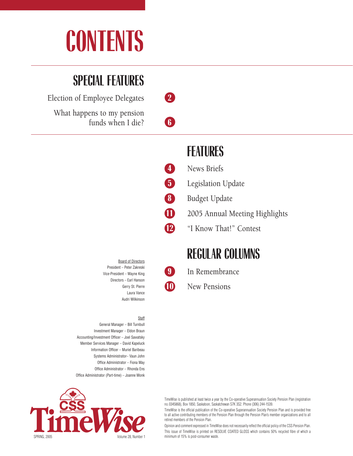# **CONTENTS**

## **SPECIAL FEATURES**

Election of Employee Delegates **2**

What happens to my pension funds when I die? **6**

### **FEATURES**

- **4** News Briefs
- **5** Legislation Update
- **8** Budget Update
- 11 2005 Annual Meeting Highlights
- **12** "I Know That!" Contest

### **REGULAR COLUMNS**

- **9** In Remembrance
- **10** New Pensions

Board of Directors President – Peter Zakreski Vice-President – Wayne King Directors – Earl Hanson Gerry St. Pierre Laura Vance Audri Wilkinson

#### **Staff**

General Manager – Bill Turnbull Investment Manager – Eldon Braun Accounting/Investment Officer – Joel Sawatsky Member Services Manager – David Kapeluck Information Officer – Muriel Baribeau Systems Administrator– Vaun John Office Administrator – Fiona May Office Administrator – Rhonda Ens Office Administrator (Part-time) – Joanne Monk



TimeWise is published at least twice a year by the Co-operative Superannuation Society Pension Plan (registration no. 0345868), Box 1850, Saskatoon, Saskatchewan S7K 3S2. Phone (306) 244-1539.

TimeWise is the official publication of the Co-operative Superannuation Society Pension Plan and is provided free to all active contributing members of the Pension Plan through the Pension Plan's member organizations and to all retired members of the Pension Plan.

Opinion and comment expressed in TimeWise does not necessarily reflect the official policy of the CSS Pension Plan. This issue of TimeWise is printed on RESOLVE COATED GLOSS which contains 50% recycled fibre of which a minimum of 15% is post-consumer waste.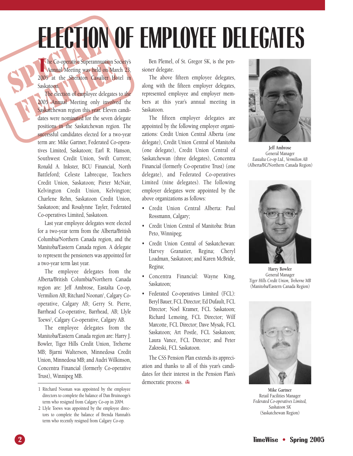# **ELECTION OF EMPLOYEE DELEGATES**

THE Co-operative Superannus<br>
Annual Meeting was held<br>
Saskatoon.<br>
The election of expression The Co-operative Superannuation Society's<br>Annual Meeting was held on March 23,<br>2005 at the Sheraton Cavalier Hotel in The Co-operative Superannuation Society's Annual Meeting was held on March 23, Saskatoon.

The Co-operative Superannuation Schematical Co-operative Superannuation Schematics Annual Meeting was held on Mar<br>Saskatoon.<br>The election of employee delegates<br>2005 Annual Meeting only involve<br>Saskatchewan region this year The election of employee delegates to the 2005 Annual Meeting only involved the Saskatchewan region this year. Eleven candidates were nominated for the seven delegate positions in the Saskatchewan region. The successful candidates elected for a two-year term are: Mike Gartner, Federated Co-operatives Limited, Saskatoon; Earl R. Hanson, Southwest Credit Union, Swift Current; Ronald A. Inkster, BCU Financial, North Battleford; Celeste Labrecque, Teachers Credit Union, Saskatoon; Pieter McNair, Kelvington Credit Union, Kelvington; Charlene Rehn, Saskatoon Credit Union, Saskatoon; and Rosalynne Tayler, Federated Co-operatives Limited, Saskatoon.

> Last year employee delegates were elected for a two-year term from the Alberta/British Columbia/Northern Canada region, and the Manitoba/Eastern Canada region. A delegate to represent the pensioners was appointed for a two-year term last year.

> The employee delegates from the Alberta/British Columbia/Northern Canada region are: Jeff Ambrose, Eastalta Co-op, Vermilion AB; Ritchard Noonan', Calgary Cooperative, Calgary AB; Gerry St. Pierre, Barrhead Co-operative, Barrhead, AB; Llyle Toews<sup>2</sup>, Calgary Co-operative, Calgary AB.

> The employee delegates from the Manitoba/Eastern Canada region are: Harry J. Bowler, Tiger Hills Credit Union, Treherne MB; Bjarni Walterson, Minnedosa Credit Union, Minnedosa MB; and Audri Wilkinson, Concentra Financial (formerly Co-operative Trust), Winnipeg MB.

Ben Plemel, of St. Gregor SK, is the pensioner delegate.

The above fifteen employee delegates, along with the fifteen employer delegates, represented employee and employer members at this year's annual meeting in Saskatoon.

The fifteen employer delegates are appointed by the following employer organizations: Credit Union Central Alberta (one delegate), Credit Union Central of Manitoba (one delegate), Credit Union Central of Saskatchewan (three delegates), Concentra Financial (formerly Co-operative Trust) (one delegate), and Federated Co-operatives Limited (nine delegates). The following employer delegates were appointed by the above organizations as follows:

- Credit Union Central Alberta: Paul Rossmann, Calgary;
- Credit Union Central of Manitoba: Brian Peto, Winnipeg;
- Credit Union Central of Saskatchewan: Harvey Granatier, Regina; Cheryl Loadman, Saskatoon; and Karen McBride, Regina;
- Concentra Financial: Wayne King, Saskatoon;
- Federated Co-operatives Limited (FCL): Beryl Bauer, FCL Director; Ed Dufault, FCL Director; Noel Kramer, FCL Saskatoon; Richard Lemoing, FCL Director; Wilf Marcotte, FCL Director; Dave Mysak, FCL Saskatoon; Art Postle, FCL Saskatoon; Laura Vance, FCL Director; and Peter Zakreski, FCL Saskatoon.

The CSS Pension Plan extends its appreciation and thanks to all of this year's candidates for their interest in the Pension Plan's democratic process. con



**Jeff Ambrose** General Manager *Eastalta Co-op Ltd., Vermilion AB* (Alberta/BC/Northern Canada Region)



**Harry Bowler** General Manager *Tiger Hills Credit Union, Treherne MB* (Manitoba/Eastern Canada Region)



**Mike Gartner** Retail Facilities Manager *Federated Co-operatives Limited, Saskatoon SK* (Saskatchewan Region)

<sup>1</sup> Ritchard Noonan was appointed by the employee directors to complete the balance of Dan Bruinooge's term who resigned from Calgary Co-op in 2004.

<sup>2</sup> Llyle Toews was appointed by the employee directors to complete the balance of Brenda Hannah's term who recently resigned from Calgary Co-op.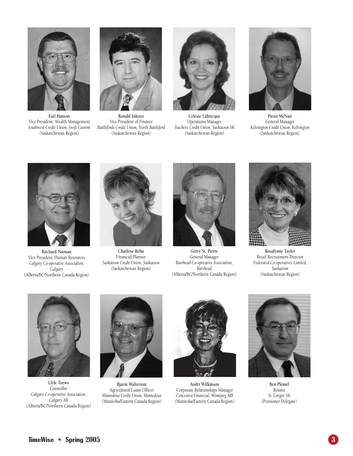

**Earl Hanson** Vice President, Wealth Management *Southwest Credit Union, Swift Current* (Saskatchewan Region)



**Ronald Inkster** Vice President of Finance *Battlefords Credit Union, North Battleford* (Saskatchewan Region)



**Celeste Labrecque** Operations Manager *Teachers Credit Union, Saskatoon SK* (Saskatchewan Region)



**Pieter McNair** General Manager *Kelvington Credit Union, Kelvington* (Saskatchewan Region)



**Ritchard Noonan** Vice President, Human Resources *Calgary Co-operative Association, Calgary* (Alberta/BC/Northern Canada Region)



**Charlene Rehn** Financial Planner *Saskatoon Credit Union, Saskatoon* (Saskatchewan Region)



**Gerry St. Pierre** General Manager *Barrhead Co-operative Association, Barrhead* (Alberta/BC/Northern Canada Region)



**Rosalynne Tayler** Retail Recruitment Director *Federated Co-operatives Limited, Saskatoon* (Saskatchewan Region)



**Llyle Toews Controller** *Calgary Co-operative Association, Calgary AB* (Alberta/BC/Northern Canada Region)



**Bjarni Walterson** Agricultural Loans Officer *Minnedosa Credit Union, Minnedosa* (Manitoba/Eastern Canada Region)



**Audri Wilkinson** Corporate Relationships Manager *Concentra Financial, Winnipeg MB* (Manitoba/Eastern Canada Region)



**Ben Plemel** Retiree *St. Gregor SK* (Pensioner Delegate)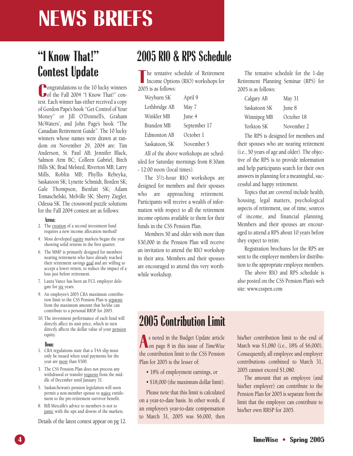# **NEWS BRIEFS**

### **"I Know That!" Contest Update**

**C**ongratulations to the 10 lucky winners<br>
of the Fall 2004 "I Know That!" con-**Pongratulations to the 10 lucky winners** test. Each winner has either received a copy of Gordon Pape's book "Get Control of Your Money" or Jill O'Donnell's, Graham McWaters', and John Page's book "The Canadian Retirement Guide". The 10 lucky winners whose names were drawn at random on November 29, 2004 are: Tim Anderson, St. Paul AB; Jennifer Black, Salmon Arm BC; Colleen Gabriel, Birch Hills SK; Brad Melsted, Riverton MB; Larry Mills, Roblin MB; Phyllis Rebeyka, Saskatoon SK; Lynette Schmidt, Borden SK; Gale Thompson, Bienfait SK; Adam Tomaschefski, Melville SK; Sherry Ziegler, Odessa SK. The crossword puzzle solutions for the Fall 2004 contest are as follows:

#### **Across:**

- 2. The creation of a second investment fund requires a new income allocation method!
- 4. Most developed equity markets began the year showing solid returns in the first quarter.
- 6. The MMF is primarily designed for members nearing retirement who have already reached their retirement savings goal and are willing to accept a lower return, to reduce the impact of a loss just before retirement.
- 7. Laura Vance has been an FCL employer delegate for six years.
- 9. An employee's 2005 CRA maximum contribution limit to the CSS Pension Plan is separate from the maximum amount that he/she can contribute to a personal RRSP for 2005.
- 10. The investment performance of each fund will directly affect its unit price, which in turn directly affects the dollar value of your pension equity.

#### **Down:**

- 1. CRA regulations state that a T4A slip must only be issued when total payments for the year are more than \$500.
- 3. The CSS Pension Plan does not process any withdrawal or transfer requests from the middle of December until January 31.
- 5. Saskatchewan's pension legislation will soon permit a non-member spouse to waive entitlement to the pre-retirement survivor benefit.
- 8. Bill Metcalfe's advice to members is not to panic with the ups and downs of the markets.

Details of the latest contest appear on pg 12.

### **2005 RIO & RPS Schedule**

The tentative s<br>
Income Optio<br>
2005 is as follows: he tentative schedule of Retirement Income Options (RIO) workshops for

| Weyburn SK    | April 9      |
|---------------|--------------|
| Lethbridge AB | May 7        |
| Winkler MB    | June 4       |
| Brandon MB    | September 17 |
| Edmonton AB   | October 1    |
| Saskatoon, SK | November 5   |

All of the above workshops are scheduled for Saturday mornings from 8:30am - 12:00 noon (local times).

The 31/2-hour RIO workshops are designed for members and their spouses who are approaching retirement. Participants will receive a wealth of information with respect to all the retirement income options available to them for their funds in the CSS Pension Plan.

Members 50 and older with more than \$30,000 in the Pension Plan will receive an invitation to attend the RIO workshop in their area. Members and their spouses are encouraged to attend this very worthwhile workshop.

The tentative schedule for the 1-day Retirement Planning Seminar (RPS) for 2005 is as follows:

| Calgary AB   | May 31     |
|--------------|------------|
| Saskatoon SK | June 8     |
| Winnipeg MB  | October 18 |
| Yorkton SK   | November 2 |

The RPS is designed for members and their spouses who are nearing retirement (i.e., 50 years of age and older). The objective of the RPS is to provide information and help participants search for their own answers in planning for a meaningful, successful and happy retirement.

Topics that are covered include health, housing, legal matters, psychological aspects of retirement, use of time, sources of income, and financial planning. Members and their spouses are encouraged to attend a RPS about 10 years before they expect to retire.

Registration brochures for the RPS are sent to the employer members for distribution to the appropriate employee members.

The above RIO and RPS schedule is also posted on the CSS Pension Plan's web site: www.csspen.com

### **2005 Contribution Limit**

**A** s noted in the Budget Update article on page 8 in this issue of *TimeWise* the contribution limit to the CSS Pension Plan for 2005 is the lesser of:

- 18% of employment earnings, or
- \$18,000 (the maximum dollar limit).

Please note that this limit is calculated on a year-to-date basis. In other words, if an employee's year-to-date compensation to March 31, 2005 was \$6,000, then

his/her contribution limit to the end of March was \$1,080 (i.e., 18% of \$6,000). Consequently, all employee and employer contributions combined to March 31, 2005 cannot exceed \$1,080.

The amount that an employee (and his/her employer) can contribute to the Pension Plan for 2005 is separate from the limit that the employee can contribute to his/her own RRSP for 2005.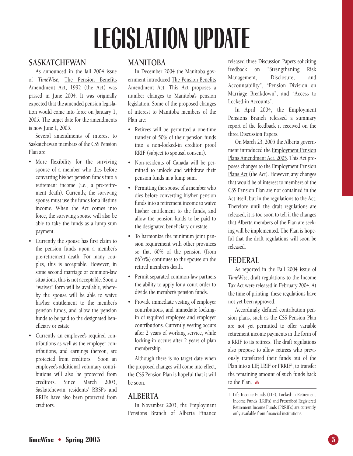# **LEGISLATION UPDATE**

#### **SASKATCHEWAN**

As announced in the fall 2004 issue of *TimeWise*, The Pension Benefits Amendment Act, 1992 (the Act) was passed in June 2004. It was originally expected that the amended pension legislation would come into force on January 1, 2005. The target date for the amendments is now June 1, 2005.

Several amendments of interest to Saskatchewan members of the CSS Pension Plan are:

- More flexibility for the surviving spouse of a member who dies before converting his/her pension funds into a retirement income (i.e., a pre-retirement death). Currently, the surviving spouse must use the funds for a lifetime income. When the Act comes into force, the surviving spouse will also be able to take the funds as a lump sum payment.
- Currently the spouse has first claim to the pension funds upon a member's pre-retirement death. For many couples, this is acceptable. However, in some second marriage or common-law situations, this is not acceptable. Soon a "waiver" form will be available, whereby the spouse will be able to waive his/her entitlement to the member's pension funds, and allow the pension funds to be paid to the designated beneficiary or estate.
- Currently an employee's required contributions as well as the employer contributions, and earnings thereon, are protected from creditors. Soon an employee's additional voluntary contributions will also be protected from creditors. Since March 2003, Saskatchewan residents' RRSPs and RRIFs have also been protected from creditors.

#### **MANITOBA**

In December 2004 the Manitoba government introduced The Pension Benefits Amendment Act. This Act proposes a number changes to Manitoba's pension legislation. Some of the proposed changes of interest to Manitoba members of the Plan are:

- Retirees will be permitted a one-time transfer of 50% of their pension funds into a non-locked-in creditor proof RRIF (subject to spousal consent).
- Non-residents of Canada will be permitted to unlock and withdraw their pension funds in a lump sum.
- Permitting the spouse of a member who dies before converting his/her pension funds into a retirement income to waive his/her entitlement to the funds, and allow the pension funds to be paid to the designated beneficiary or estate.
- To harmonize the minimum joint pension requirement with other provinces so that 60% of the pension (from 662/3%) continues to the spouse on the retired member's death.
- Permit separated common-law partners the ability to apply for a court order to divide the member's pension funds.
- Provide immediate vesting of employer contributions, and immediate lockingin of required employee and employer contributions. Currently, vesting occurs after 2 years of working service, while locking-in occurs after 2 years of plan membership.

Although there is no target date when the proposed changes will come into effect, the CSS Pension Plan is hopeful that it will be soon.

#### **ALBERTA**

In November 2003, the Employment Pensions Branch of Alberta Finance

released three Discussion Papers soliciting feedback on "Strengthening Risk Management, Disclosure, and Accountability", "Pension Division on Marriage Breakdown", and "Access to Locked-in Accounts".

In April 2004, the Employment Pensions Branch released a summary report of the feedback it received on the three Discussion Papers.

On March 23, 2005 the Alberta government introduced the Employment Pension Plans Amendment Act, 2005*.* This Act proposes changes to the Employment Pension Plans Act (the Act). However, any changes that would be of interest to members of the CSS Pension Plan are not contained in the Act itself, but in the regulations to the Act. Therefore until the draft regulations are released, it is too soon to tell if the changes that Alberta members of the Plan are seeking will be implemented. The Plan is hopeful that the draft regulations will soon be released.

#### **FEDERAL**

As reported in the Fall 2004 issue of *TimeWise*, draft regulations to the Income Tax Act were released in February 2004. At the time of printing, these regulations have not yet been approved.

Accordingly, defined contribution pension plans, such as the CSS Pension Plan are not yet permitted to offer variable retirement income payments in the form of a RRIF to its retirees. The draft regulations also propose to allow retirees who previously transferred their funds out of the Plan into a LIF, LRIF or PRRIF<sup>1</sup>, to transfer the remaining amount of such funds back to the Plan.

<sup>1</sup> Life Income Funds (LIF), Locked-in Retirement Income Funds (LRIFs) and Prescribed Registered Retirement Income Funds (PRRIFs) are currently only available from financial institutions.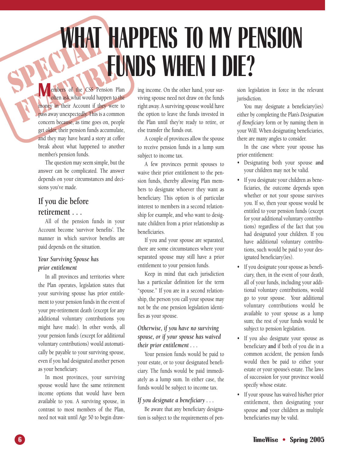# SPECIAL SERVICE **WHAT HAPPENS TO MY PENSION FUNDS WHEN I DIE?**

FEATURE CONTRACT THE CONTRACT OF THE MANUFACT OF THE MANUFACT OF THE MANUFACT OF THE MANUFACT OF THE MANUFACT OF THE MANUFACT OF THE MANUFACT OF THE MANUFACT OF THE MANUFACT OF THE MANUFACT OF THE MANUFACT OF THE MANUFACT often ask what would happen to the money in their Account if they were to pass away unexpectedly. This is a common concern because, as time goes on, people get older, their pension funds accumulate, and they may have heard a story at coffee break about what happened to another member's pension funds.

> The question may seem simple, but the answer can be complicated. The answer depends on your circumstances and decisions you've made.

#### **If you die before retirement . . .**

All of the pension funds in your Account become 'survivor benefits'. The manner in which survivor benefits are paid depends on the situation.

#### *Your Surviving Spouse has prior entitlement*

In all provinces and territories where the Plan operates, legislation states that your surviving spouse has prior entitlement to your pension funds in the event of your pre-retirement death (except for any additional voluntary contributions you might have made). In other words, all your pension funds (except for additional voluntary contributions) would automatically be payable to your surviving spouse, even if you had designated another person as your beneficiary.

In most provinces, your surviving spouse would have the same retirement income options that would have been available to you. A surviving spouse, in contrast to most members of the Plan, need not wait until Age 50 to begin drawing income. On the other hand, your surviving spouse need not draw on the funds right away. A surviving spouse would have the option to leave the funds invested in the Plan until they're ready to retire, or else transfer the funds out.

A couple of provinces allow the spouse to receive pension funds in a lump sum subject to income tax.

A few provinces permit spouses to waive their prior entitlement to the pension funds, thereby allowing Plan members to designate whoever they want as beneficiary. This option is of particular interest to members in a second relationship for example, and who want to designate children from a prior relationship as beneficiaries.

If you and your spouse are separated, there are some circumstances where your separated spouse may still have a prior entitlement to your pension funds.

Keep in mind that each jurisdiction has a particular definition for the term "spouse." If you are in a second relationship, the person you call your spouse may not be the one pension legislation identifies as your spouse.

#### *Otherwise, if you have no surviving spouse, or if your spouse has waived their prior entitlement . . .*

Your pension funds would be paid to your estate, or to your designated beneficiary. The funds would be paid immediately as a lump sum. In either case, the funds would be subject to income tax.

#### *If you designate a beneficiary . . .*

Be aware that any beneficiary designation is subject to the requirements of pension legislation in force in the relevant jurisdiction.

You may designate a beneficiary(ies) either by completing the Plan's *Designation of Beneficiary* form or by naming them in your Will. When designating beneficiaries, there are many angles to consider.

In the case where your spouse has prior entitlement:

- Designating both your spouse **and** your children may not be valid.
- If you designate your children as beneficiaries, the outcome depends upon whether or not your spouse survives you. If so, then your spouse would be entitled to your pension funds (except for your additional voluntary contributions) regardless of the fact that you had designated your children. If you have additional voluntary contributions, such would be paid to your designated beneficiary(ies).
- If you designate your spouse as beneficiary, then, in the event of your death, all of your funds, including your additional voluntary contributions, would go to your spouse. Your additional voluntary contributions would be available to your spouse as a lump sum; the rest of your funds would be subject to pension legislation.
- If you also designate your spouse as beneficiary **and** if both of you die in a common accident, the pension funds would then be paid to either your estate or your spouse's estate. The laws of succession for your province would specify whose estate.
- If your spouse has waived his/her prior entitlement, then designating your spouse **and** your children as multiple beneficiaries may be valid.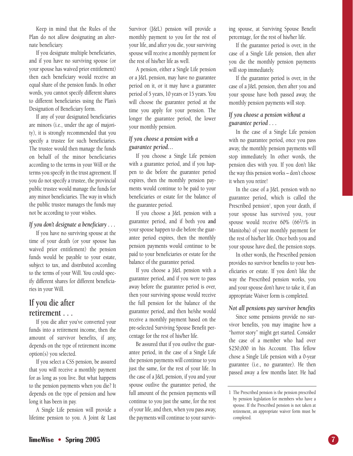Keep in mind that the Rules of the Plan do not allow designating an alternate beneficiary.

If you designate multiple beneficiaries, and if you have no surviving spouse (or your spouse has waived prior entitlement) then each beneficiary would receive an equal share of the pension funds. In other words, you cannot specify different shares to different beneficiaries using the Plan's Designation of Beneficiary form.

If any of your designated beneficiaries are minors (i.e., under the age of majority), it is strongly recommended that you specify a trustee for such beneficiaries. The trustee would then manage the funds on behalf of the minor beneficiaries according to the terms in your Will or the terms you specify in the trust agreement. If you do not specify a trustee, the provincial public trustee would manage the funds for any minor beneficiaries. The way in which the public trustee manages the funds may not be according to your wishes.

#### *If you don't designate a beneficiary . . .*

If you have no surviving spouse at the time of your death (or your spouse has waived prior entitlement) the pension funds would be payable to your estate, subject to tax, and distributed according to the terms of your Will. You could specify different shares for different beneficiaries in your Will.

#### **If you die after retirement . . .**

If you die after you've converted your funds into a retirement income, then the amount of survivor benefits, if any, depends on the type of retirement income option(s) you selected.

If you select a CSS pension, be assured that you will receive a monthly payment for as long as you live. But what happens to the pension payments when you die? It depends on the type of pension and how long it has been in pay.

A Single Life pension will provide a lifetime pension to you. A Joint & Last Survivor (J&L) pension will provide a monthly payment to you for the rest of your life, and after you die, your surviving spouse will receive a monthly payment for the rest of his/her life as well.

A pension, either a Single Life pension or a J&L pension, may have no guarantee period on it, or it may have a guarantee period of 5 years, 10 years or 15 years. You will choose the guarantee period at the time you apply for your pension. The longer the guarantee period, the lower your monthly pension.

#### *If you choose a pension with a guarantee period…*

If you choose a Single Life pension with a guarantee period, and if you happen to die before the guarantee period expires, then the monthly pension payments would continue to be paid to your beneficiaries or estate for the balance of the guarantee period.

If you choose a J&L pension with a guarantee period, and if both you **and** your spouse happen to die before the guarantee period expires, then the monthly pension payments would continue to be paid to your beneficiaries or estate for the balance of the guarantee period.

If you choose a J&L pension with a guarantee period, and if you were to pass away before the guarantee period is over, then your surviving spouse would receive the full pension for the balance of the guarantee period, and then he/she would receive a monthly payment based on the pre-selected Surviving Spouse Benefit percentage for the rest of his/her life.

Be assured that if you outlive the guarantee period, in the case of a Single Life the pension payments will continue to you just the same, for the rest of your life. In the case of a J&L pension, if you and your spouse outlive the guarantee period, the full amount of the pension payments will continue to you just the same, for the rest of your life, and then, when you pass away, the payments will continue to your surviving spouse, at Surviving Spouse Benefit percentage, for the rest of his/her life.

If the guarantee period is over, in the case of a Single Life pension, then after you die the monthly pension payments will stop immediately.

If the guarantee period is over, in the case of a J&L pension, then after you and your spouse have both passed away, the monthly pension payments will stop.

#### *If you choose a pension without a guarantee period . . .*

In the case of a Single Life pension with no guarantee period, once you pass away, the monthly pension payments will stop immediately. In other words, the pension dies with you. If you don't like the way this pension works – don't choose it when you retire!

In the case of a J&L pension with no guarantee period, which is called the Prescribed pension<sup>1</sup>, upon your death, if your spouse has survived you, your spouse would receive 60% (662/3% in Manitoba) of your monthly payment for the rest of his/her life. Once both you and your spouse have died, the pension stops.

In other words, the Prescribed pension provides no survivor benefits to your beneficiaries or estate. If you don't like the way the Prescribed pension works, you and your spouse don't have to take it, if an appropriate Waiver form is completed.

#### *Not all pensions pay survivor benefits*

Since some pensions provide no survivor benefits, you may imagine how a "horror story" might get started. Consider the case of a member who had over \$250,000 in his Account. This fellow chose a Single Life pension with a 0-year guarantee (i.e., no guarantee). He then passed away a few months later. He had

<sup>1</sup> The Prescribed pension is the pension prescribed by pension legislation for members who have a spouse. If the Prescribed pension is not taken at retirement, an appropriate waiver form must be completed.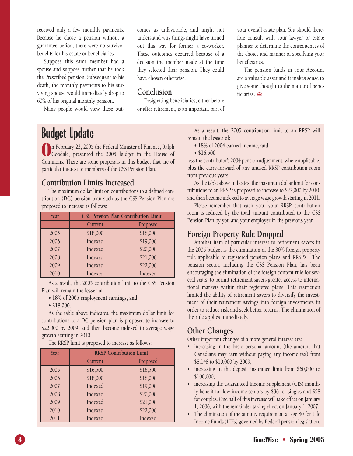received only a few monthly payments. Because he chose a pension without a guarantee period, there were no survivor benefits for his estate or beneficiaries.

Suppose this same member had a spouse and suppose further that he took the Prescribed pension. Subsequent to his death, the monthly payments to his surviving spouse would immediately drop to 60% of his original monthly pension.

Many people would view these out-

comes as unfavorable, and might not understand why things might have turned out this way for former a co-worker. These outcomes occurred because of a decision the member made at the time they selected their pension. They could have chosen otherwise.

#### **Conclusion**

Designating beneficiaries, either before or after retirement, is an important part of your overall estate plan. You should therefore consult with your lawyer or estate planner to determine the consequences of the choice and manner of specifying your beneficiaries.

The pension funds in your Account are a valuable asset and it makes sense to give some thought to the matter of beneficiaries. **de** 

### **Budget Update**

**O**n February 23, 2005 the Federal Minister of Finance, Ralph<br>Goodale, presented the 2005 budget in the House of<br>Commons There are some proposals in this budget that are of n February 23, 2005 the Federal Minister of Finance, Ralph Commons. There are some proposals in this budget that are of particular interest to members of the CSS Pension Plan.

#### **Contribution Limits Increased**

The maximum dollar limit on contributions to a defined contribution (DC) pension plan such as the CSS Pension Plan are proposed to increase as follows:

| Year | <b>CSS Pension Plan Contribution Limit</b> |          |  |
|------|--------------------------------------------|----------|--|
|      | Current                                    | Proposed |  |
| 2005 | \$18,000                                   | \$18,000 |  |
| 2006 | Indexed                                    | \$19,000 |  |
| 2007 | Indexed                                    | \$20,000 |  |
| 2008 | Indexed                                    | \$21,000 |  |
| 2009 | Indexed                                    | \$22,000 |  |
| 2010 | Indexed                                    | Indexed  |  |

As a result, the 2005 contribution limit to the CSS Pension Plan will remain **the lesser of:**

- **18% of 2005 employment earnings, and**
- **\$18,000.**

As the table above indicates, the maximum dollar limit for contributions to a DC pension plan is proposed to increase to \$22,000 by 2009, and then become indexed to average wage growth starting in 2010.

The RRSP limit is proposed to increase as follows:

| Year | <b>RRSP Contribution Limit</b> |          |  |
|------|--------------------------------|----------|--|
|      | Current                        | Proposed |  |
| 2005 | \$16,500                       | \$16,500 |  |
| 2006 | \$18,000                       | \$18,000 |  |
| 2007 | Indexed                        | \$19,000 |  |
| 2008 | Indexed                        | \$20,000 |  |
| 2009 | Indexed                        | \$21,000 |  |
| 2010 | Indexed                        | \$22,000 |  |
| 2011 | Indexed                        | Indexed  |  |

As a result, the 2005 contribution limit to an RRSP will remain **the lesser of:** 

- **18% of 2004 earned income, and**
- **\$16,500**

less the contributor's 2004 pension adjustment, where applicable, plus the carry-forward of any unused RRSP contribution room from previous years.

As the table above indicates, the maximum dollar limit for contributions to an RRSP is proposed to increase to \$22,000 by 2010, and then become indexed to average wage growth starting in 2011.

Please remember that each year, your RRSP contribution room is reduced by the total amount contributed to the CSS Pension Plan by you and your employer in the previous year.

#### **Foreign Property Rule Dropped**

Another item of particular interest to retirement savers in the 2005 budget is the elimination of the 30% foreign property rule applicable to registered pension plans and RRSP's. The pension sector, including the CSS Pension Plan, has been encouraging the elimination of the foreign content rule for several years, to permit retirement savers greater access to international markets within their registered plans. This restriction limited the ability of retirement savers to diversify the investment of their retirement savings into foreign investments in order to reduce risk and seek better returns. The elimination of the rule applies immediately.

#### **Other Changes**

Other important changes of a more general interest are:

- increasing in the basic personal amount (the amount that Canadians may earn without paying any income tax) from \$8,148 to \$10,000 by 2009;
- increasing in the deposit insurance limit from \$60,000 to \$100,000;
- increasing the Guaranteed Income Supplement (GIS) monthly benefit for low-income seniors by \$36 for singles and \$58 for couples. One half of this increase will take effect on January 1, 2006, with the remainder taking effect on January 1, 2007.
- The elimination of the annuity requirement at age 80 for Life Income Funds (LIFs) governed by Federal pension legislation.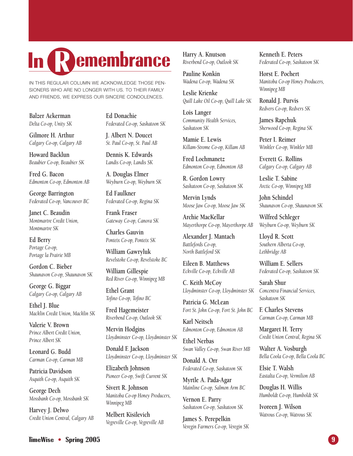# **R In emembrance**

IN THIS REGULAR COLUMN WE ACKNOWLEDGE THOSE PEN-SIONERS WHO ARE NO LONGER WITH US. TO THEIR FAMILY AND FRIENDS, WE EXPRESS OUR SINCERE CONDOLENCES.

**Balzer Ackerman** *Delta Co-op, Unity SK*

**Gilmore H. Arthur**  *Calgary Co-op, Calgary AB*

**Howard Backlun** *Beaubier Co-op, Beaubier SK*

**Fred G. Bacon** *Edmonton Co-op, Edmonton AB*

**George Barrington**  *Federated Co-op, Vancouver BC*

**Janet C. Beaudin** *Montmartre Credit Union, Montmartre SK*

**Ed Berry** *Portage Co-op, Portage la Prairie MB*

**Gordon C. Bieber**  *Shaunavon Co-op, Shaunavon SK*

**George G. Biggar** *Calgary Co-op, Calgary AB*

**Ethel J. Blue** *Macklin Credit Union, Macklin SK*

**Valerie V. Brown** *Prince Albert Credit Union, Prince Albert SK*

**Leonard G. Budd** *Carman Co-op, Carman MB*

**Patricia Davidson**  *Asquith Co-op, Asquith SK*

**George Dech** *Mossbank Co-op, Mossbank SK*

**Harvey J. Delwo** *Credit Union Central, Calgary AB* **Ed Donachie** *Federated Co-op, Saskatoon SK*

**J. Albert N. Doucet** *St. Paul Co-op, St. Paul AB*

**Dennis K. Edwards** *Landis Co-op, Landis SK*

**A. Douglas Elmer** *Weyburn Co-op, Weyburn SK*

**Ed Faulkner** *Federated Co-op, Regina SK*

**Frank Fraser** *Gateway Co-op, Canora SK*

**Charles Gauvin** *Ponteix Co-op, Ponteix SK*

**William Gawryluk** *Revelstoke Co-op, Revelstoke BC*

**William Gillespie** *Red River Co-op, Winnipeg MB*

**Ethel Grant** *Tofino Co-op, Tofino BC*

**Fred Hagemeister** *Riverbend Co-op, Outlook SK*

**Mervin Hodgins** *Lloydminster Co-op, Lloydminster SK*

**Donald F. Jackson** *Lloydminster Co-op, Lloydminster SK*

**Elizabeth Johnson** *Pioneer Co-op, Swift Current SK*

**Sivert R. Johnson** *Manitoba Co-op Honey Producers, Winnipeg MB*

**Melbert Kisilevich** *Vegreville Co-op, Vegreville AB* **Harry A. Knutson** *Riverbend Co-op, Outlook SK*

**Pauline Konkin** *Wadena Co-op, Wadena SK*

**Leslie Krienke** *Quill Lake Oil Co-op, Quill Lake SK*

**Lois Langer** *Community Health Services, Saskatoon SK*

**Mamie E. Lewis** *Killam-Strome Co-op, Killam AB*

**Fred Lochmanetz** *Edmonton Co-op, Edmonton AB*

**R. Gordon Lowry** *Saskatoon Co-op, Saskatoon SK*

**Mervin Lynds** *Moose Jaw Co-op, Moose Jaw SK*

**Archie MacKellar** *Mayerthorpe Co-op, Mayerthorpe AB*

**Alexander J. Mantach** *Battlefords Co-op, North Battleford SK*

**Eileen B. Matthews** *Eckville Co-op, Eckville AB*

**C. Keith McCoy** *Lloydminster Co-op, Lloydminster SK*

**Patricia G. McLean** *Fort St. John Co-op, Fort St. John BC*

**Karl Neitsch** *Edmonton Co-op, Edmonton AB*

**Ethel Nerbas** *Swan Valley Co-op, Swan River MB*

**Donald A. Orr** *Federated Co-op, Saskatoon SK*

**Myrtle A. Pada-Agar** *Mainline Co-op, Salmon Arm BC*

**Vernon E. Parry** *Saskatoon Co-op, Saskatoon SK*

**James S. Perepelkin** *Veregin Farmers Co-op, Veregin SK* **Kenneth E. Peters** *Federated Co-op, Saskatoon SK*

**Horst E. Pochert** *Manitoba Co-op Honey Producers, Winnipeg MB*

**Ronald J. Purvis** *Redvers Co-op, Redvers SK*

**James Rapchuk** *Sherwood Co-op, Regina SK*

**Peter I. Reimer** *Winkler Co-op, Winkler MB*

**Everett G. Rollins** *Calgary Co-op, Calgary AB*

**Leslie T. Sabine** *Arctic Co-op, Winnipeg MB*

**John Schindel** *Shaunavon Co-op, Shaunavon SK*

**Wilfred Schleger** *Weyburn Co-op, Weyburn SK*

**Lloyd R. Scott** *Southern Alberta Co-op, Lethbridge AB*

**William E. Sellers** *Federated Co-op, Saskatoon SK*

**Sarah Shur** *Concentra Financial Services, Saskatoon SK*

**F. Charles Stevens** *Carman Co-op, Carman MB*

**Margaret H. Terry** *Credit Union Central, Regina SK*

**Walter A. Vosburgh** *Bella Coola Co-op, Bella Coola BC*

**Elsie T. Walsh** *Eastalta Co-op, Vermilion AB*

**Douglas H. Willis** *Humboldt Co-op, Humboldt SK*

**Ivoreen J. Wilson** *Watrous Co-op, Watrous SK*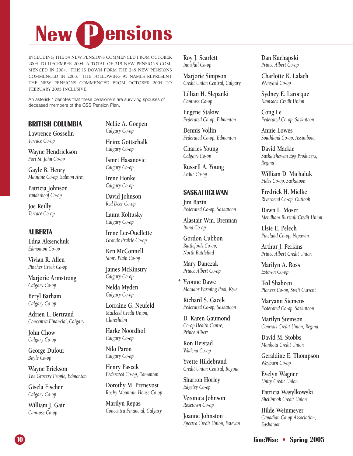

INCLUDING THE 54 NEW PENSIONS COMMENCED FROM OCTOBER 2004 TO DECEMBER 2004, A TOTAL OF 219 NEW PENSIONS COM-MENCED IN 2004. THIS IS DOWN FORM THE 245 NEW PENSIONS COMMENCED IN 2003. THE FOLLOWING 95 NAMES REPRESENT THE NEW PENSIONS COMMENCED FROM OCTOBER 2004 TO FEBRUARY 2005 INCLUSIVE.

An asterisk \* denotes that these pensioners are surviving spouses of deceased members of the CSS Pension Plan.

#### **BRITISH COLUMBIA**

**Lawrence Gosselin** *Terrace Co-op*

**Wayne Hendrickson** *Fort St. John Co-op*

**Gayle B. Henry** *Mainline Co-op, Salmon Arm*

**Patricia Johnson** *Vanderhoof Co-op*

**Joe Reilly** *Terrace Co-op*

#### **ALBERTA**

**Edna Aksenchuk** *Edmonton Co-op*

**Vivian R. Allen** *Pincher Creek Co-op*

**Marjorie Armstrong** *Calgary Co-op*

**Beryl Barham** *Calgary Co-op*

**Adrien L. Bertrand** *Concentra Financial, Calgary*

**John Chow** *Calgary Co-op*

**George Dufour** *Boyle Co-op*

**Wayne Erickson** *The Grocery People, Edmonton*

**Gisela Fischer** *Calgary Co-op*

**William J. Gair** *Camrose Co-op*

**Nellie A. Goepen** *Calgary Co-op*

**Heinz Gottschalk** *Calgary Co-op*

**Ismet Hasanovic** *Calgary Co-op*

**Irene Honke** *Calgary Co-op*

**David Johnson** *Red Deer Co-op*

**Laura Koltusky** *Calgary Co-op*

**Irene Lee-Ouellette** *Grande Prairie Co-op*

**Ken McConnell** *Stony Plain Co-op*

**James McKinstry** *Calgary Co-op*

**Nelda Myden** *Calgary Co-op*

**Lorraine G. Neufeld** *Macleod Credit Union, Claresholm*

**Harke Noordhof** *Calgary Co-op*

**Nilo Paron** *Calgary Co-op*

**Henry Paszek** *Federated Co-op, Edmonton*

**Dorothy M. Prenevost** *Rocky Mountain House Co-op*

**Marilyn Repas** *Concentra Financial, Calgary* **Roy J. Scarlett** *Innisfail Co-op*

**Marjorie Simpson** *Credit Union Central, Calgary*

**Lillian H. Slepanki** *Camrose Co-op*

**Eugene Stakiw** *Federated Co-op, Edmonton*

**Dennis Vollin** *Federated Co-op, Edmonton*

**Charles Young** *Calgary Co-op*

**Russell A. Young** *Leduc Co-op*

#### **SASKATHCEWAN**

**Jim Bazin** *Federated Co-op, Saskatoon*

**Alastair Wm. Brennan** *Ituna Co-op*

**Gordon Cubbon** *Battlefords Co-op, North Battleford*

**Mary Danczak** *Prince Albert Co-op*

**\* Yvonne Dawe** *Matador Farming Pool, Kyle*

**Richard S. Gacek** *Federated Co-op, Saskatoon*

**D. Karen Gaumond** *Co-op Health Centre, Prince Albert*

**Ron Heistad** *Wadena Co-op*

**Yvette Hildebrand** *Credit Union Central, Regina*

**Sharron Horley** *Edgeley Co-op*

**Veronica Johnson** *Rosetown Co-op*

**Joanne Johnston** *Spectra Credit Union, Estevan* **Dan Kuchapski** *Prince Albert Co-op*

**Charlotte K. Lalach** *Wynyard Co-op*

**Sydney E. Larocque** *Kamsack Credit Union*

**Cong Le** *Federated Co-op, Saskatoon*

**Annie Lowes** *Southland Co-op, Assiniboia*

**David Mackie** *Saskatchewan Egg Producers, Regina*

**William D. Michaluk** *Fides Co-op, Saskatoon*

**Fredrick H. Mielke** *Riverbend Co-op, Outlook*

**Dawn L. Moser** *Mendham-Burstall Credit Union*

**Elsie E. Pelech** *Pineland Co-op, Nipawin*

**Arthur J. Perkins** *Prince Albert Credit Union*

**Marilyn A. Ross** *Estevan Co-op*

**Ted Shaheen** *Pioneer Co-op, Swift Current*

**Maryann Siemens** *Federated Co-op, Saskatoon*

**Marilyn Steinson** *Conexus Credit Union, Regina*

**David M. Stobbs** *Mankota Credit Union*

**Geraldine E. Thompson** *Weyburn Co-op*

**Evelyn Wagner** *Unity Credit Union*

**Patricia Wasylkowski** *Shellbrook Credit Union*

**Hilde Weinmeyer** *Canadian Co-op Association, Saskatoon*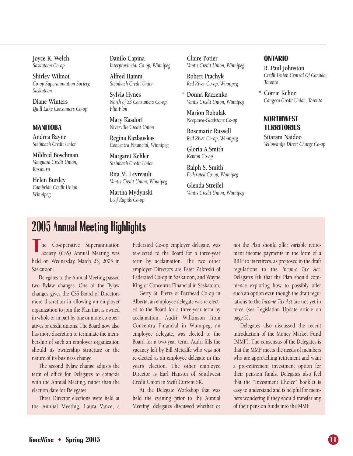**Joyce K. Welch** *Saskatoon Co-op*

**Shirley Wilmot** *Co-op Superannuation Society, Saskatoon*

**Diane Winters** *Quill Lake Consumers Co-op*

#### **MANITOBA**

**Andrea Bayne** *Steinbach Credit Union*

**Mildred Boschman** *Vanguard Credit Union, Rossburn*

**Helen Burdey** *Cambrian Credit Union, Winnipeg*

**Danilo Capina** *Interprovincial Co-op, Winnipeg*

**Alfred Hamm** *Steinbach Credit Union*

**Sylvia Hynes** *North of 53 Consumers Co-op, Flin Flon*

**Mary Kasdorf** *Niverville Credit Union*

**Regina Kazlauskas** *Concentra Financial, Winnipeg*

**Margaret Kehler** *Steinbach Credit Union*

**Rita M. Levreault** *Vantis Credit Union, Winnipeg*

**Martha Mydynski** *Leaf Rapids Co-op*

**Claire Potier** *Vantis Credit Union, Winnipeg*

**Robert Ptachyk** *Red River Co-op, Winnipeg*

**\* Donna Raczenko** *Vantis Credit Union, Winnipeg*

**Marion Robulak** *Neepawa-Gladstone Co-op*

**Rosemarie Russell** *Red River Co-op, Winnipeg*

**Gloria A.Smith** *Kenton Co-op*

**Ralph S. Smith** *Federated Co-op, Winnipeg*

**Glenda Streifel** *Vantis Credit Union, Winnipeg* 

#### **ONTARIO**

**R. Paul Johnston** *Credit Union Central Of Canada, Toronto*

**\* Corrie Kehoe** *Cangeco Credit Union, Toronto*

#### **NORTHWEST TERRITORIES**

**Sitaram Naidoo** *Yellowknife Direct Charge Co-op*

### **2005 Annual Meeting Highlights**

T<br>
The Co-operative Superannuation<br>
Society (CSS) Annual Meeting was held on Wednesday, March 23, 2005 in Saskatoon.

Delegates to the Annual Meeting passed two Bylaw changes. One of the Bylaw changes gives the CSS Board of Directors more discretion in allowing an employer organization to join the Plan that is owned in whole or in part by one or more co-operatives or credit unions. The Board now also has more discretion to terminate the membership of such an employer organization should its ownership structure or the nature of its business change.

The second Bylaw change adjusts the term of office for Delegates to coincide with the Annual Meeting, rather than the election date for Delegates.

Three Director elections were held at the Annual Meeting. Laura Vance, a Federated Co-op employer delegate, was re-elected to the Board for a three-year term by acclamation. The two other employer Directors are Peter Zakreski of Federated Co-op in Saskatoon, and Wayne King of Concentra Financial in Saskatoon.

Gerry St. Pierre of Barrhead Co-op in Alberta, an employee delegate was re-elected to the Board for a three-year term by acclamation. Audri Wilkinson from Concentra Financial in Winnipeg, an employee delegate, was elected to the Board for a two-year term. Audri fills the vacancy left by Bill Metcalfe who was not re-elected as an employee delegate in this year's election. The other employee Director is Earl Hanson of Southwest Credit Union in Swift Current SK.

At the Delegate Workshop that was held the evening prior to the Annual Meeting, delegates discussed whether or

not the Plan should offer variable retirement income payments in the form of a RRIF to its retirees, as proposed in the draft regulations to the *Income Tax Act.* Delegates felt that the Plan should commence exploring how to possibly offer such an option even though the draft regulations to the *Income Tax Act* are not yet in force (see Legislation Update article on page 5).

Delegates also discussed the recent introduction of the Money Market Fund (MMF). The consensus of the Delegates is that the MMF meets the needs of members who are approaching retirement and want a pre-retirement investment option for their pension funds. Delegates also feel that the "Investment Choice" booklet is easy to understand and is helpful for members wondering if they should transfer any of their pension funds into the MMF.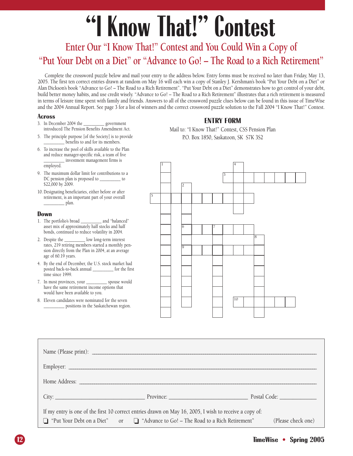# **"I Know That!" Contest**

#### **Enter Our "I Know That!" Contest and You Could Win a Copy of "Put Your Debt on a Diet" or "Advance to Go! – The Road to a Rich Retirement"**

Complete the crossword puzzle below and mail your entry to the address below. Entry forms must be received no later than Friday, May 13, 2005. The first ten correct entries drawn at random on May 16 will each win a copy of Stanley J. Kershman's book "Put Your Debt on a Diet" or Alan Dickson's book "Advance to Go! – The Road to a Rich Retirement". "Put Your Debt on a Diet" demonstrates how to get control of your debt, build better money habits, and use credit wisely. "Advance to Go! – The Road to a Rich Retirement" illustrates that a rich retirement is measured in terms of leisure time spent with family and friends. Answers to all of the crossword puzzle clues below can be found in this issue of TimeWise and the 2004 Annual Report. See page 3 for a list of winners and the correct crossword puzzle solution to the Fall 2004 "I Know That!" Contest.

#### **Across**

- 3. In December 2004 the \_\_\_\_\_\_\_\_\_\_ government introduced The Pension Benefits Amendment Act.
- 5. The principle purpose [of the Society] is to provide benefits to and for its members.
- 6. To increase the pool of skills available to the Plan and reduce manager-specific risk, a team of five \_\_\_\_\_\_\_\_\_\_ investment management firms is employed.
- 9. The maximum dollar limit for contributions to a DC pension plan is proposed to \_\_\_\_\_\_\_\_\_\_ to \$22,000 by 2009.
- 10. Designating beneficiaries, either before or after retirement, is an important part of your overall  $\frac{1}{2}$  plan.

#### **Down**

- 1. The portfolio's broad \_\_\_\_\_\_\_\_\_\_ and "balanced" asset mix of approximately half stocks and half bonds, continued to reduce volatility in 2004.
- 2. Despite the \_\_\_\_\_\_\_\_\_\_ low long-term interest rates, 219 retiring members started a monthly pension directly from the Plan in 2004, at an average age of 60.19 years.
- 4. By the end of December, the U.S. stock market had posted back-to-back annual \_\_\_\_\_\_\_\_\_\_ for the first time since 1999.
- 7. In most provinces, your \_\_\_\_\_\_\_\_\_\_ spouse would have the same retirement income options that would have been available to you.
- 8. Eleven candidates were nominated for the seven \_\_\_\_\_\_\_\_\_\_ positions in the Saskatchewan region.

#### **ENTRY FORM**

Mail to: "I Know That!" Contest, CSS Pension Plan P.O. Box 1850, Saskatoon, SK S7K 3S2



| If my entry is one of the first 10 correct entries drawn on May 16, 2005, I wish to receive a copy of: |                                                                                   |  |                    |  |
|--------------------------------------------------------------------------------------------------------|-----------------------------------------------------------------------------------|--|--------------------|--|
|                                                                                                        | □ "Put Your Debt on a Diet" or □ "Advance to Go! – The Road to a Rich Retirement" |  | (Please check one) |  |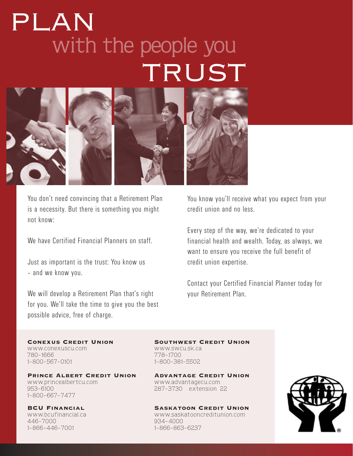# with the people you TRUST PLAN



You don't need convincing that a Retirement Plan is a necessity. But there is something you might not know:

We have Certified Financial Planners on staff.

Just as important is the trust: You know us – and we know you.

We will develop a Retirement Plan that's right for you. We'll take the time to give you the best possible advice, free of charge.

You know you'll receive what you expect from your credit union and no less.

Every step of the way, we're dedicated to your financial health and wealth. Today, as always, we want to ensure you receive the full benefit of credit union expertise.

Contact your Certified Financial Planner today for your Retirement Plan.

www.conexuscu.com www.swcu.sk.ca<br>780-1666 780-1666 780-1666<br>1-800-567-0101

Prince Albert Credit Union Advantage Credit Union www.princealbertcu.com www.advantagecu.com 953-6100 1-800-667-7477

446-7000 934-4000

Conexus Credit Union Southwest Credit Union 1-800-381-5502

287-3730 extension 22

BCU Financial Saskatoon Credit Union www.bcufinancial.ca www.saskatooncreditunion.com 1-866-863-6237